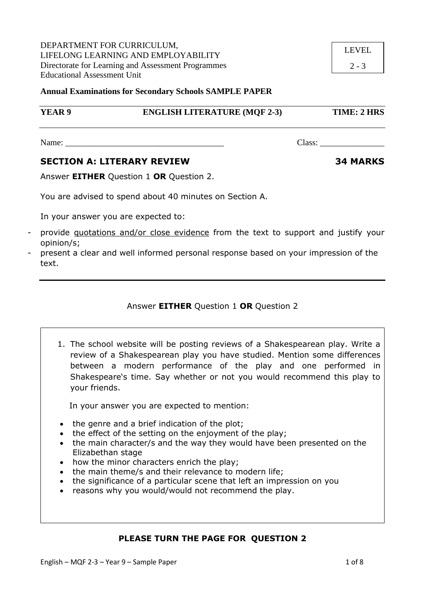English – MQF 2-3 – Year 9 – Sample Paper 1 of 8

### DEPARTMENT FOR CURRICULUM, LIFELONG LEARNING AND EMPLOYABILITY Directorate for Learning and Assessment Programmes Educational Assessment Unit

### **Annual Examinations for Secondary Schools SAMPLE PAPER**

# **YEAR 9 ENGLISH LITERATURE (MQF 2-3) TIME: 2 HRS**

# **SECTION A: LITERARY REVIEW 34 MARKS**

Answer **EITHER** Question 1 **OR** Question 2.

You are advised to spend about 40 minutes on Section A.

In your answer you are expected to:

- provide quotations and/or close evidence from the text to support and justify your opinion/s;
- present a clear and well informed personal response based on your impression of the text.

### Answer **EITHER** Question 1 **OR** Question 2

1. The school website will be posting reviews of a Shakespearean play. Write a review of a Shakespearean play you have studied. Mention some differences between a modern performance of the play and one performed in Shakespeare's time. Say whether or not you would recommend this play to your friends.

In your answer you are expected to mention:

- the genre and a brief indication of the plot;
- the effect of the setting on the enjoyment of the play;
- the main character/s and the way they would have been presented on the Elizabethan stage
- how the minor characters enrich the play;
- the main theme/s and their relevance to modern life;
- the significance of a particular scene that left an impression on you
- reasons why you would/would not recommend the play.

# **PLEASE TURN THE PAGE FOR QUESTION 2**

LEVEL

 $2 - 3$ 

Name: 2018. [2018] Class: 2018. [2018] Class: 2018. [2018] Class: 2018. [2018] Class: 2018. [2018] Class: 2018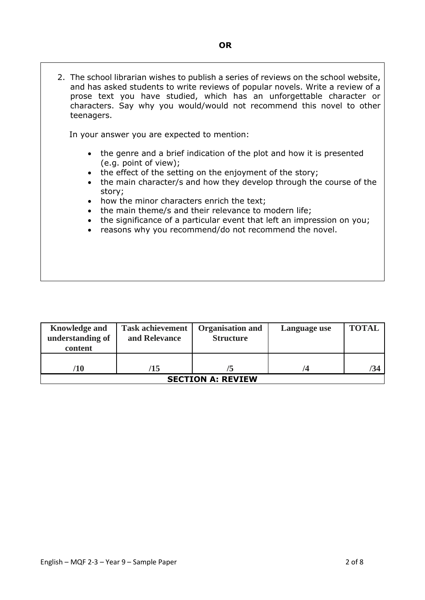2. The school librarian wishes to publish a series of reviews on the school website, and has asked students to write reviews of popular novels. Write a review of a prose text you have studied, which has an unforgettable character or characters. Say why you would/would not recommend this novel to other teenagers.

In your answer you are expected to mention:

- the genre and a brief indication of the plot and how it is presented (e.g. point of view);
- the effect of the setting on the enjoyment of the story;
- the main character/s and how they develop through the course of the story;
- how the minor characters enrich the text;
- the main theme/s and their relevance to modern life;
- the significance of a particular event that left an impression on you;
- reasons why you recommend/do not recommend the novel.

| <b>Knowledge and</b><br>understanding of<br>content | <b>Task achievement</b><br>and Relevance | <b>Organisation and</b><br><b>Structure</b> | Language use | <b>TOTAL</b> |
|-----------------------------------------------------|------------------------------------------|---------------------------------------------|--------------|--------------|
| /10                                                 | /15                                      |                                             | 14           | /34          |
| <b>SECTION A: REVIEW</b>                            |                                          |                                             |              |              |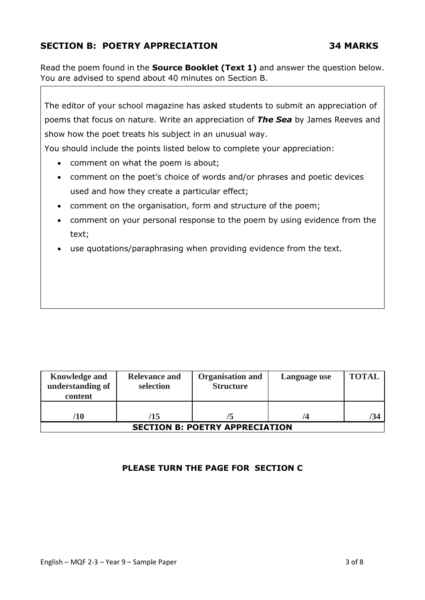# **SECTION B: POETRY APPRECIATION 34 MARKS**

Read the poem found in the **Source Booklet (Text 1)** and answer the question below. You are advised to spend about 40 minutes on Section B.

The editor of your school magazine has asked students to submit an appreciation of poems that focus on nature. Write an appreciation of *The Sea* by James Reeves and show how the poet treats his subject in an unusual way.

You should include the points listed below to complete your appreciation:

- comment on what the poem is about;
- comment on the poet's choice of words and/or phrases and poetic devices used and how they create a particular effect;
- comment on the organisation, form and structure of the poem;
- comment on your personal response to the poem by using evidence from the text;
- use quotations/paraphrasing when providing evidence from the text.

| <b>Knowledge and</b><br>understanding of<br>content | <b>Relevance and</b><br>selection | <b>Organisation and</b><br><b>Structure</b> | Language use | <b>TOTAL</b> |
|-----------------------------------------------------|-----------------------------------|---------------------------------------------|--------------|--------------|
| ′10                                                 | /15                               |                                             | /4           | /34          |
| <b>SECTION B: POETRY APPRECIATION</b>               |                                   |                                             |              |              |

### **PLEASE TURN THE PAGE FOR SECTION C**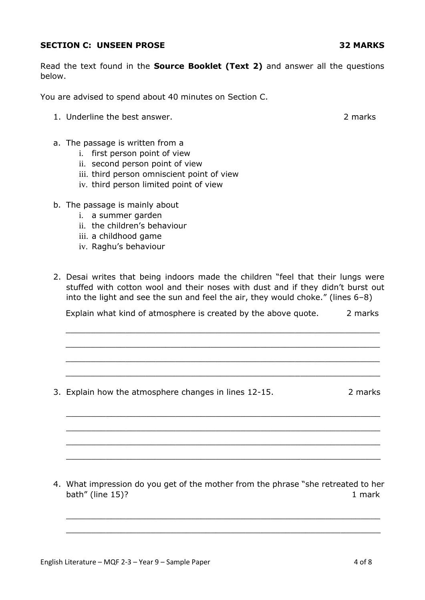### **SECTION C: UNSEEN PROSE 32 MARKS**

Read the text found in the **Source Booklet (Text 2)** and answer all the questions below.

You are advised to spend about 40 minutes on Section C.

- 1. Underline the best answer. 2 marks
- a. The passage is written from a
	- i. first person point of view
	- ii. second person point of view
	- iii. third person omniscient point of view
	- iv. third person limited point of view
- b. The passage is mainly about
	- i. a summer garden
	- ii. the children's behaviour
	- iii. a childhood game
	- iv. Raghu's behaviour
- 2. Desai writes that being indoors made the children "feel that their lungs were stuffed with cotton wool and their noses with dust and if they didn't burst out into the light and see the sun and feel the air, they would choke." (lines 6–8)

Explain what kind of atmosphere is created by the above quote. 2 marks

 $\_$  , and the contribution of the contribution of  $\mathcal{L}_\mathcal{A}$  , and the contribution of  $\mathcal{L}_\mathcal{A}$ 

\_\_\_\_\_\_\_\_\_\_\_\_\_\_\_\_\_\_\_\_\_\_\_\_\_\_\_\_\_\_\_\_\_\_\_\_\_\_\_\_\_\_\_\_\_\_\_\_\_\_\_\_\_\_\_\_\_\_\_\_\_\_\_

 $\_$  , and the contribution of the contribution of  $\mathcal{L}_\mathcal{A}$  , and the contribution of  $\mathcal{L}_\mathcal{A}$ 

 $\_$  , and the contribution of the contribution of  $\mathcal{L}_\mathcal{A}$  , and the contribution of  $\mathcal{L}_\mathcal{A}$ 

\_\_\_\_\_\_\_\_\_\_\_\_\_\_\_\_\_\_\_\_\_\_\_\_\_\_\_\_\_\_\_\_\_\_\_\_\_\_\_\_\_\_\_\_\_\_\_\_\_\_\_\_\_\_\_\_\_\_\_\_\_\_\_

 $\_$  , and the contribution of the contribution of  $\mathcal{L}_\mathcal{A}$  , and the contribution of  $\mathcal{L}_\mathcal{A}$ 

\_\_\_\_\_\_\_\_\_\_\_\_\_\_\_\_\_\_\_\_\_\_\_\_\_\_\_\_\_\_\_\_\_\_\_\_\_\_\_\_\_\_\_\_\_\_\_\_\_\_\_\_\_\_\_\_\_\_\_\_\_\_\_

 $\_$  , and the set of the set of the set of the set of the set of the set of the set of the set of the set of the set of the set of the set of the set of the set of the set of the set of the set of the set of the set of th

3. Explain how the atmosphere changes in lines 12-15. 2 marks

4. What impression do you get of the mother from the phrase "she retreated to her bath" (line 15)? 1 mark

\_\_\_\_\_\_\_\_\_\_\_\_\_\_\_\_\_\_\_\_\_\_\_\_\_\_\_\_\_\_\_\_\_\_\_\_\_\_\_\_\_\_\_\_\_\_\_\_\_\_\_\_\_\_\_\_\_\_\_\_\_\_\_

 $\_$  , and the contribution of the contribution of  $\mathcal{L}_\mathcal{A}$  , and the contribution of  $\mathcal{L}_\mathcal{A}$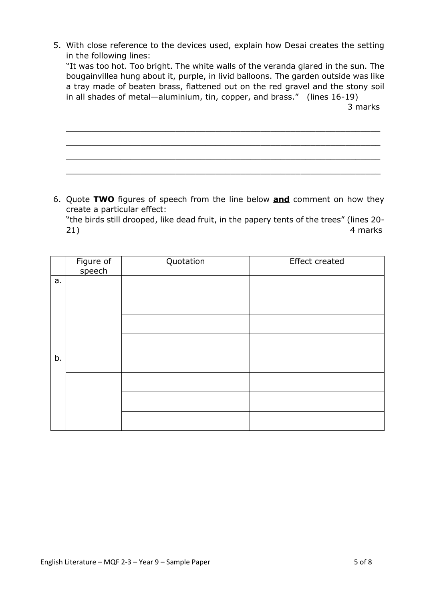5. With close reference to the devices used, explain how Desai creates the setting in the following lines:

"It was too hot. Too bright. The white walls of the veranda glared in the sun. The bougainvillea hung about it, purple, in livid balloons. The garden outside was like a tray made of beaten brass, flattened out on the red gravel and the stony soil in all shades of metal—aluminium, tin, copper, and brass." (lines 16-19)

3 marks

 $\_$  , and the contribution of the contribution of  $\mathcal{L}_\mathcal{A}$  , and the contribution of  $\mathcal{L}_\mathcal{A}$ \_\_\_\_\_\_\_\_\_\_\_\_\_\_\_\_\_\_\_\_\_\_\_\_\_\_\_\_\_\_\_\_\_\_\_\_\_\_\_\_\_\_\_\_\_\_\_\_\_\_\_\_\_\_\_\_\_\_\_\_\_\_\_

 $\_$  , and the contribution of the contribution of  $\mathcal{L}_\mathcal{A}$  , and the contribution of  $\mathcal{L}_\mathcal{A}$ 

\_\_\_\_\_\_\_\_\_\_\_\_\_\_\_\_\_\_\_\_\_\_\_\_\_\_\_\_\_\_\_\_\_\_\_\_\_\_\_\_\_\_\_\_\_\_\_\_\_\_\_\_\_\_\_\_\_\_\_\_\_\_\_

6. Quote **TWO** figures of speech from the line below **and** comment on how they create a particular effect:

"the birds still drooped, like dead fruit, in the papery tents of the trees" (lines 20- 21) 4 marks

|    | Figure of<br>speech | Quotation | <b>Effect created</b> |
|----|---------------------|-----------|-----------------------|
| а. |                     |           |                       |
|    |                     |           |                       |
|    |                     |           |                       |
|    |                     |           |                       |
| b. |                     |           |                       |
|    |                     |           |                       |
|    |                     |           |                       |
|    |                     |           |                       |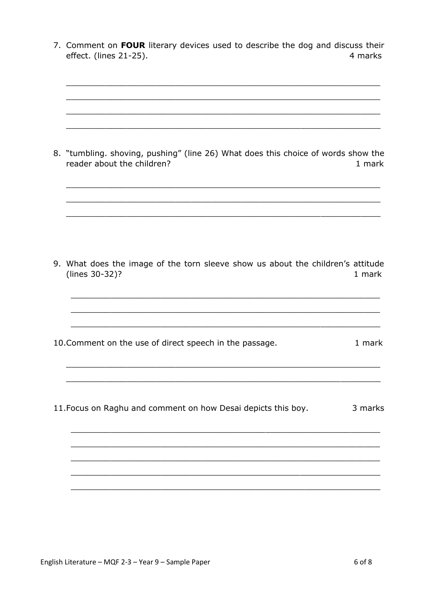| 8. "tumbling. shoving, pushing" (line 26) What does this choice of words show the<br>reader about the children? | 1 mark  |
|-----------------------------------------------------------------------------------------------------------------|---------|
| 9. What does the image of the torn sleeve show us about the children's attitude<br>(lines 30-32)?               | 1 mark  |
| 10. Comment on the use of direct speech in the passage.                                                         | 1 mark  |
| 11. Focus on Raghu and comment on how Desai depicts this boy.                                                   | 3 marks |
|                                                                                                                 |         |

7. Comment on FOUR literary devices used to describe the dog and discuss their

effect. (lines 21-25).

4 marks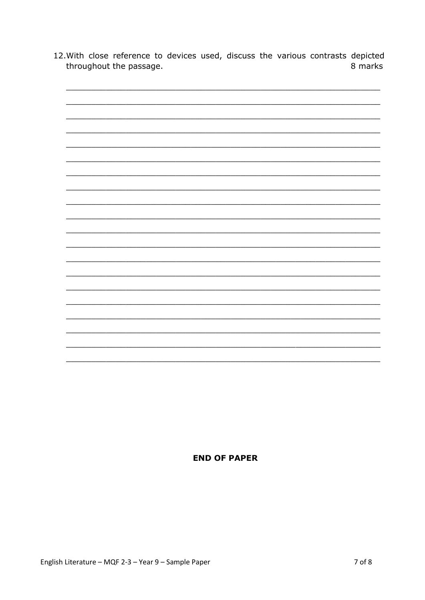12. With close reference to devices used, discuss the various contrasts depicted throughout the passage. 8 marks



## **END OF PAPER**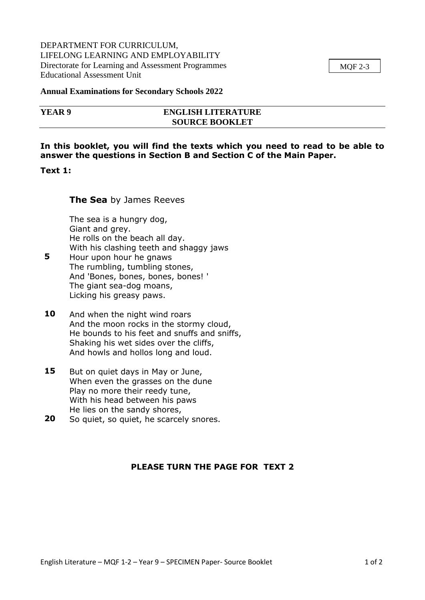### DEPARTMENT FOR CURRICULUM, LIFELONG LEARNING AND EMPLOYABILITY Directorate for Learning and Assessment Programmes Educational Assessment Unit

MQF 2-3

### **Annual Examinations for Secondary Schools 2022**

| YEAR 9 | <b>ENGLISH LITERATURE</b> |  |
|--------|---------------------------|--|
|        | <b>SOURCE BOOKLET</b>     |  |

### **In this booklet, you will find the texts which you need to read to be able to answer the questions in Section B and Section C of the Main Paper.**

### **Text 1:**

### **The Sea** by James Reeves

The sea is a hungry dog, Giant and grey. He rolls on the beach all day. With his clashing teeth and shaggy jaws

- **5** Hour upon hour he gnaws The rumbling, tumbling stones, And 'Bones, bones, bones, bones! ' The giant sea-dog moans, Licking his greasy paws.
- **10** And when the night wind roars And the moon rocks in the stormy cloud, He bounds to his feet and snuffs and sniffs, Shaking his wet sides over the cliffs, And howls and hollos long and loud.
- **15** But on quiet days in May or June, When even the grasses on the dune Play no more their reedy tune, With his head between his paws He lies on the sandy shores,
- **20** So quiet, so quiet, he scarcely snores.

### **PLEASE TURN THE PAGE FOR TEXT 2**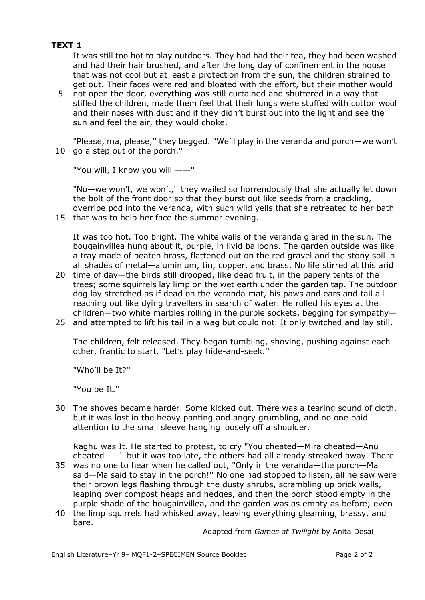### **TEXT 1**

It was still too hot to play outdoors. They had had their tea, they had been washed and had their hair brushed, and after the long day of confinement in the house that was not cool but at least a protection from the sun, the children strained to get out. Their faces were red and bloated with the effort, but their mother would

5 not open the door, everything was still curtained and shuttered in a way that stifled the children, made them feel that their lungs were stuffed with cotton wool and their noses with dust and if they didn't burst out into the light and see the sun and feel the air, they would choke.

"Please, ma, please,'' they begged. "We'll play in the veranda and porch—we won't 10 go a step out of the porch.''

"You will, I know you will ——''

"No—we won't, we won't,'' they wailed so horrendously that she actually let down the bolt of the front door so that they burst out like seeds from a crackling, overripe pod into the veranda, with such wild yells that she retreated to her bath 15 that was to help her face the summer evening.

It was too hot. Too bright. The white walls of the veranda glared in the sun. The bougainvillea hung about it, purple, in livid balloons. The garden outside was like a tray made of beaten brass, flattened out on the red gravel and the stony soil in all shades of metal—aluminium, tin, copper, and brass. No life stirred at this arid

- 20 time of day—the birds still drooped, like dead fruit, in the papery tents of the trees; some squirrels lay limp on the wet earth under the garden tap. The outdoor dog lay stretched as if dead on the veranda mat, his paws and ears and tail all reaching out like dying travellers in search of water. He rolled his eyes at the children—two white marbles rolling in the purple sockets, begging for sympathy—
- 25 and attempted to lift his tail in a wag but could not. It only twitched and lay still.

The children, felt released. They began tumbling, shoving, pushing against each other, frantic to start. "Let's play hide-and-seek.''

"Who'll be It?''

"You be It.''

30 The shoves became harder. Some kicked out. There was a tearing sound of cloth, but it was lost in the heavy panting and angry grumbling, and no one paid attention to the small sleeve hanging loosely off a shoulder.

Raghu was It. He started to protest, to cry "You cheated—Mira cheated—Anu cheated——'' but it was too late, the others had all already streaked away. There

- 35 was no one to hear when he called out, "Only in the veranda—the porch—Ma said—Ma said to stay in the porch!'' No one had stopped to listen, all he saw were their brown legs flashing through the dusty shrubs, scrambling up brick walls, leaping over compost heaps and hedges, and then the porch stood empty in the purple shade of the bougainvillea, and the garden was as empty as before; even
- 40 the limp squirrels had whisked away, leaving everything gleaming, brassy, and bare.

Adapted from *Games at Twilight* by Anita Desai

English Literature–Yr 9- MOF1-2–SPECIMEN Source Booklet Page 2 of 2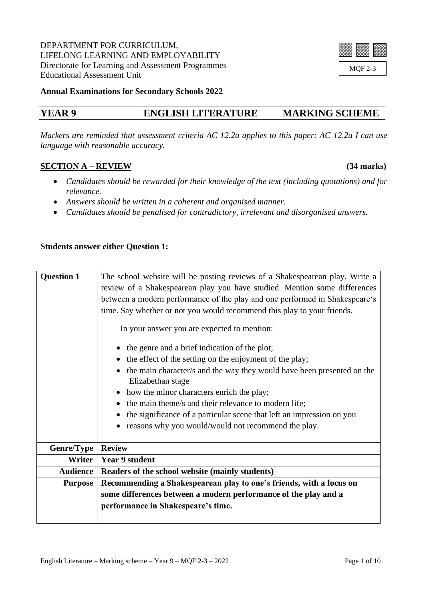DEPARTMENT FOR CURRICULUM, LIFELONG LEARNING AND EMPLOYABILITY Directorate for Learning and Assessment Programmes Educational Assessment Unit

| MQF 2-3 |  |
|---------|--|

**Annual Examinations for Secondary Schools 2022**

### **YEAR 9 ENGLISH LITERATURE MARKING SCHEME**

*Markers are reminded that assessment criteria AC 12.2a applies to this paper: AC 12.2a I can use language with reasonable accuracy.*

### **SECTION A – REVIEW (34 marks)**

- *Candidates should be rewarded for their knowledge of the text (including quotations) and for relevance.*
- *Answers should be written in a coherent and organised manner.*
- *Candidates should be penalised for contradictory, irrelevant and disorganised answers.*

### **Students answer either Question 1:**

| <b>Question 1</b> | The school website will be posting reviews of a Shakespearean play. Write a                 |  |  |  |
|-------------------|---------------------------------------------------------------------------------------------|--|--|--|
|                   | review of a Shakespearean play you have studied. Mention some differences                   |  |  |  |
|                   | between a modern performance of the play and one performed in Shakespeare's                 |  |  |  |
|                   | time. Say whether or not you would recommend this play to your friends.                     |  |  |  |
|                   | In your answer you are expected to mention:                                                 |  |  |  |
|                   | the genre and a brief indication of the plot;                                               |  |  |  |
|                   | the effect of the setting on the enjoyment of the play;                                     |  |  |  |
|                   | the main character/s and the way they would have been presented on the<br>Elizabethan stage |  |  |  |
|                   | • how the minor characters enrich the play;                                                 |  |  |  |
|                   | the main theme/s and their relevance to modern life;                                        |  |  |  |
|                   | the significance of a particular scene that left an impression on you                       |  |  |  |
|                   | reasons why you would/would not recommend the play.                                         |  |  |  |
|                   |                                                                                             |  |  |  |
| Genre/Type        | <b>Review</b>                                                                               |  |  |  |
| <b>Writer</b>     | <b>Year 9 student</b>                                                                       |  |  |  |
| Audience          | Readers of the school website (mainly students)                                             |  |  |  |
| <b>Purpose</b>    | Recommending a Shakespearean play to one's friends, with a focus on                         |  |  |  |
|                   | some differences between a modern performance of the play and a                             |  |  |  |
|                   | performance in Shakespeare's time.                                                          |  |  |  |
|                   |                                                                                             |  |  |  |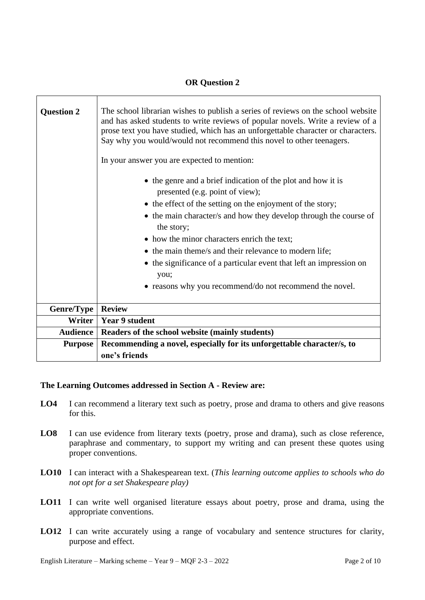### **OR Question 2**

| <b>Question 2</b> | The school librarian wishes to publish a series of reviews on the school website<br>and has asked students to write reviews of popular novels. Write a review of a<br>prose text you have studied, which has an unforgettable character or characters.<br>Say why you would/would not recommend this novel to other teenagers.<br>In your answer you are expected to mention: |  |  |
|-------------------|-------------------------------------------------------------------------------------------------------------------------------------------------------------------------------------------------------------------------------------------------------------------------------------------------------------------------------------------------------------------------------|--|--|
|                   | • the genre and a brief indication of the plot and how it is<br>presented (e.g. point of view);                                                                                                                                                                                                                                                                               |  |  |
|                   | • the effect of the setting on the enjoyment of the story;                                                                                                                                                                                                                                                                                                                    |  |  |
|                   | • the main character/s and how they develop through the course of<br>the story;                                                                                                                                                                                                                                                                                               |  |  |
|                   | • how the minor characters enrich the text;                                                                                                                                                                                                                                                                                                                                   |  |  |
|                   | • the main theme/s and their relevance to modern life;                                                                                                                                                                                                                                                                                                                        |  |  |
|                   | the significance of a particular event that left an impression on<br>you;                                                                                                                                                                                                                                                                                                     |  |  |
|                   | • reasons why you recommend/do not recommend the novel.                                                                                                                                                                                                                                                                                                                       |  |  |
| Genre/Type        | <b>Review</b>                                                                                                                                                                                                                                                                                                                                                                 |  |  |
| Writer            | <b>Year 9 student</b>                                                                                                                                                                                                                                                                                                                                                         |  |  |
| <b>Audience</b>   | Readers of the school website (mainly students)                                                                                                                                                                                                                                                                                                                               |  |  |
| <b>Purpose</b>    | Recommending a novel, especially for its unforgettable character/s, to                                                                                                                                                                                                                                                                                                        |  |  |
|                   | one's friends                                                                                                                                                                                                                                                                                                                                                                 |  |  |

### **The Learning Outcomes addressed in Section A - Review are:**

- **LO4** I can recommend a literary text such as poetry, prose and drama to others and give reasons for this.
- **LO8** I can use evidence from literary texts (poetry, prose and drama), such as close reference, paraphrase and commentary, to support my writing and can present these quotes using proper conventions.
- **LO10** I can interact with a Shakespearean text. (*This learning outcome applies to schools who do not opt for a set Shakespeare play)*
- **LO11** I can write well organised literature essays about poetry, prose and drama, using the appropriate conventions.
- LO12 I can write accurately using a range of vocabulary and sentence structures for clarity, purpose and effect.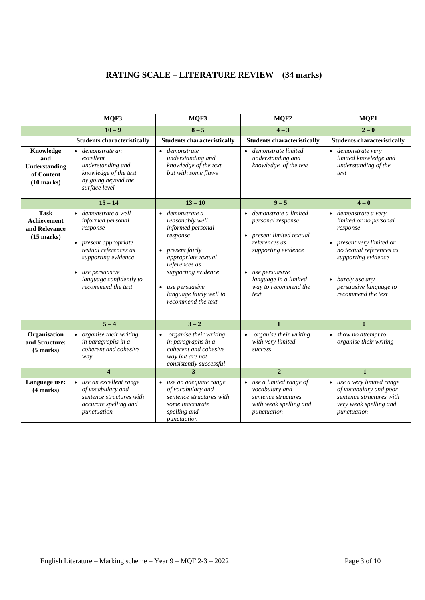# **RATING SCALE – LITERATURE REVIEW (34 marks)**

|                                                                        | MQF3                                                                                                                                                                                                           | MQF3                                                                                                                                                                                                                                      | MQF <sub>2</sub>                                                                                                                                                                                                                | MQF1                                                                                                                                                                                                                                 |
|------------------------------------------------------------------------|----------------------------------------------------------------------------------------------------------------------------------------------------------------------------------------------------------------|-------------------------------------------------------------------------------------------------------------------------------------------------------------------------------------------------------------------------------------------|---------------------------------------------------------------------------------------------------------------------------------------------------------------------------------------------------------------------------------|--------------------------------------------------------------------------------------------------------------------------------------------------------------------------------------------------------------------------------------|
|                                                                        | $10 - 9$                                                                                                                                                                                                       | $\overline{8-5}$                                                                                                                                                                                                                          | $\overline{4-3}$                                                                                                                                                                                                                | $2-0$                                                                                                                                                                                                                                |
|                                                                        | <b>Students characteristically</b>                                                                                                                                                                             | <b>Students characteristically</b>                                                                                                                                                                                                        | <b>Students characteristically</b>                                                                                                                                                                                              | <b>Students characteristically</b>                                                                                                                                                                                                   |
| Knowledge<br>and<br><b>Understanding</b><br>of Content<br>$(10$ marks) | $\bullet$ demonstrate an<br>excellent<br>understanding and<br>knowledge of the text<br>by going beyond the<br>surface level                                                                                    | • demonstrate<br>understanding and<br>knowledge of the text<br>but with some flaws                                                                                                                                                        | demonstrate limited<br>understanding and<br>knowledge of the text                                                                                                                                                               | • demonstrate very<br>limited knowledge and<br>understanding of the<br>text                                                                                                                                                          |
|                                                                        | $15 - 14$                                                                                                                                                                                                      | $13 - 10$                                                                                                                                                                                                                                 | $9 - 5$                                                                                                                                                                                                                         | $4-0$                                                                                                                                                                                                                                |
| <b>Task</b><br>Achievement<br>and Relevance<br>$(15$ marks)            | · demonstrate a well<br>informed personal<br>response<br>• present appropriate<br>textual references as<br>supporting evidence<br>use persuasive<br>$\bullet$<br>language confidently to<br>recommend the text | demonstrate a<br>reasonably well<br>informed personal<br>response<br><i>present fairly</i><br>appropriate textual<br>references as<br>supporting evidence<br>use persuasive<br>$\bullet$<br>language fairly well to<br>recommend the text | demonstrate a limited<br>$\bullet$<br>personal response<br>present limited textual<br>$\bullet$<br>references as<br>supporting evidence<br>use persuasive<br>$\bullet$<br>language in a limited<br>way to recommend the<br>text | • demonstrate a very<br>limited or no personal<br>response<br>present very limited or<br>$\bullet$<br>no textual references as<br>supporting evidence<br>barely use any<br>$\bullet$<br>persuasive language to<br>recommend the text |
|                                                                        | $5 - 4$                                                                                                                                                                                                        | $3 - 2$                                                                                                                                                                                                                                   | $\mathbf{1}$                                                                                                                                                                                                                    | $\mathbf{0}$                                                                                                                                                                                                                         |
| Organisation<br>and Structure:<br>$(5$ marks)                          | • organise their writing<br>in paragraphs in a<br>coherent and cohesive<br>way                                                                                                                                 | organise their writing<br>$\bullet$<br>in paragraphs in a<br>coherent and cohesive<br>way but are not<br>consistently successful                                                                                                          | organise their writing<br>with very limited<br>success                                                                                                                                                                          | show no attempt to<br>$\bullet$<br>organise their writing                                                                                                                                                                            |
|                                                                        | $\overline{\mathbf{4}}$                                                                                                                                                                                        | 3                                                                                                                                                                                                                                         | $\overline{2}$                                                                                                                                                                                                                  | $\mathbf{1}$                                                                                                                                                                                                                         |
| Language use:<br>(4 marks)                                             | • use an excellent range<br>of vocabulary and<br>sentence structures with<br>accurate spelling and<br>punctuation                                                                                              | • use an adequate range<br>of vocabulary and<br>sentence structures with<br>some inaccurate<br>spelling and<br>punctuation                                                                                                                | use a limited range of<br>vocabulary and<br>sentence structures<br>with weak spelling and<br>punctuation                                                                                                                        | use a very limited range<br>of vocabulary and poor<br>sentence structures with<br>very weak spelling and<br>punctuation                                                                                                              |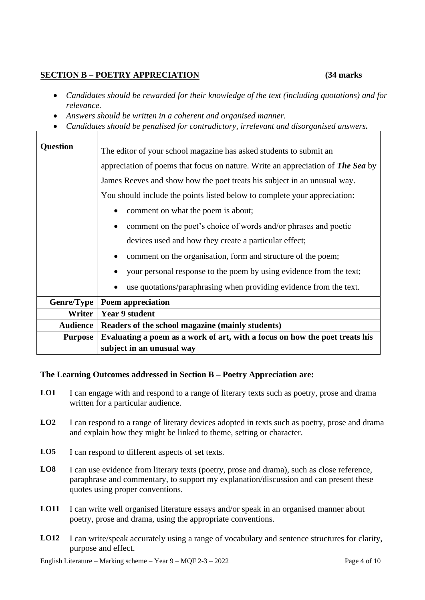### **SECTION B – POETRY APPRECIATION (34 marks**

### • *Candidates should be rewarded for their knowledge of the text (including quotations) and for relevance.*

- *Answers should be written in a coherent and organised manner.*
- *Candidates should be penalised for contradictory, irrelevant and disorganised answers.*

| Question          | The editor of your school magazine has asked students to submit an<br>appreciation of poems that focus on nature. Write an appreciation of <b>The Sea</b> by |  |  |  |
|-------------------|--------------------------------------------------------------------------------------------------------------------------------------------------------------|--|--|--|
|                   | James Reeves and show how the poet treats his subject in an unusual way.                                                                                     |  |  |  |
|                   | You should include the points listed below to complete your appreciation:                                                                                    |  |  |  |
|                   | comment on what the poem is about;                                                                                                                           |  |  |  |
|                   | comment on the poet's choice of words and/or phrases and poetic                                                                                              |  |  |  |
|                   | devices used and how they create a particular effect;                                                                                                        |  |  |  |
|                   | comment on the organisation, form and structure of the poem;                                                                                                 |  |  |  |
|                   | your personal response to the poem by using evidence from the text;                                                                                          |  |  |  |
|                   | use quotations/paraphrasing when providing evidence from the text.                                                                                           |  |  |  |
| <b>Genre/Type</b> | Poem appreciation                                                                                                                                            |  |  |  |
| Writer            | <b>Year 9 student</b>                                                                                                                                        |  |  |  |
| <b>Audience</b>   | Readers of the school magazine (mainly students)                                                                                                             |  |  |  |
| <b>Purpose</b>    | Evaluating a poem as a work of art, with a focus on how the poet treats his                                                                                  |  |  |  |
|                   | subject in an unusual way                                                                                                                                    |  |  |  |

### **The Learning Outcomes addressed in Section B – Poetry Appreciation are:**

- **LO1** I can engage with and respond to a range of literary texts such as poetry, prose and drama written for a particular audience.
- **LO2** I can respond to a range of literary devices adopted in texts such as poetry, prose and drama and explain how they might be linked to theme, setting or character.
- **LO5** I can respond to different aspects of set texts.
- **LO8** I can use evidence from literary texts (poetry, prose and drama), such as close reference, paraphrase and commentary, to support my explanation/discussion and can present these quotes using proper conventions.
- LO11 I can write well organised literature essays and/or speak in an organised manner about poetry, prose and drama, using the appropriate conventions.
- **LO12** I can write/speak accurately using a range of vocabulary and sentence structures for clarity, purpose and effect.

English Literature – Marking scheme – Year  $9 - MQF 2 - 3 - 2022$  Page 4 of 10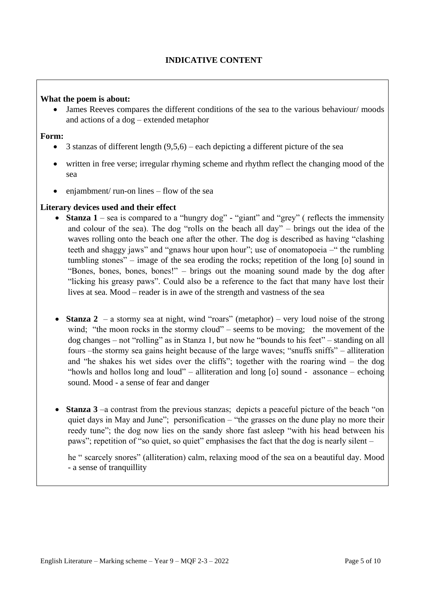# **INDICATIVE CONTENT**

### **What the poem is about:**

• James Reeves compares the different conditions of the sea to the various behaviour/ moods and actions of a dog – extended metaphor

### **Form:**

- 3 stanzas of different length  $(9,5,6)$  each depicting a different picture of the sea
- written in free verse; irregular rhyming scheme and rhythm reflect the changing mood of the sea
- enjambment/ run-on lines flow of the sea

### **Literary devices used and their effect**

- **Stanza 1** sea is compared to a "hungry dog" "giant" and "grey" ( reflects the immensity and colour of the sea). The dog "rolls on the beach all day" – brings out the idea of the waves rolling onto the beach one after the other. The dog is described as having "clashing teeth and shaggy jaws" and "gnaws hour upon hour"; use of onomatopoeia –" the rumbling tumbling stones" – image of the sea eroding the rocks; repetition of the long [o] sound in "Bones, bones, bones, bones!" – brings out the moaning sound made by the dog after "licking his greasy paws". Could also be a reference to the fact that many have lost their lives at sea. Mood – reader is in awe of the strength and vastness of the sea
- **Stanza** 2 a stormy sea at night, wind "roars" (metaphor) very loud noise of the strong wind; "the moon rocks in the stormy cloud" – seems to be moving; the movement of the dog changes – not "rolling" as in Stanza 1, but now he "bounds to his feet" – standing on all fours –the stormy sea gains height because of the large waves; "snuffs sniffs" – alliteration and "he shakes his wet sides over the cliffs"; together with the roaring wind – the dog "howls and hollos long and loud" – alliteration and long [o] sound - assonance – echoing sound. Mood - a sense of fear and danger
- **Stanza 3** –a contrast from the previous stanzas; depicts a peaceful picture of the beach "on quiet days in May and June"; personification – "the grasses on the dune play no more their reedy tune"; the dog now lies on the sandy shore fast asleep "with his head between his paws"; repetition of "so quiet, so quiet" emphasises the fact that the dog is nearly silent –

he " scarcely snores" (alliteration) calm, relaxing mood of the sea on a beautiful day. Mood - a sense of tranquillity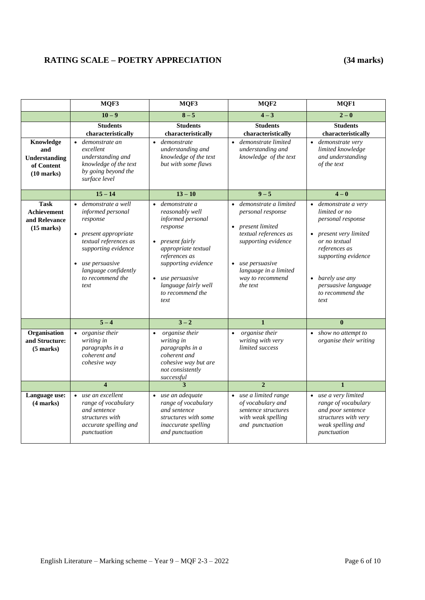# **RATING SCALE – POETRY APPRECIATION (34 marks)**

|                                                                    | MQF3                                                                                                                                                                                                                         | MQF3                                                                                                                                                                                                                                                 | MQF <sub>2</sub>                                                                                                                                                                                                   | MQF1                                                                                                                                                                                                                                     |
|--------------------------------------------------------------------|------------------------------------------------------------------------------------------------------------------------------------------------------------------------------------------------------------------------------|------------------------------------------------------------------------------------------------------------------------------------------------------------------------------------------------------------------------------------------------------|--------------------------------------------------------------------------------------------------------------------------------------------------------------------------------------------------------------------|------------------------------------------------------------------------------------------------------------------------------------------------------------------------------------------------------------------------------------------|
|                                                                    | $10 - 9$                                                                                                                                                                                                                     | $8-5$                                                                                                                                                                                                                                                | $4 - 3$                                                                                                                                                                                                            | $\overline{2-0}$                                                                                                                                                                                                                         |
| Knowledge<br>and<br>Understanding<br>of Content<br>$(10$ marks)    | <b>Students</b><br>characteristically<br>demonstrate an<br>$\bullet$<br>excellent<br>understanding and<br>knowledge of the text<br>by going beyond the<br>surface level                                                      | <b>Students</b><br>characteristically<br>• demonstrate<br>understanding and<br>knowledge of the text<br>but with some flaws                                                                                                                          | <b>Students</b><br>characteristically<br>demonstrate limited<br>understanding and<br>knowledge of the text                                                                                                         | <b>Students</b><br>characteristically<br>$\bullet$ demonstrate very<br>limited knowledge<br>and understanding<br>of the text                                                                                                             |
|                                                                    | $15 - 14$                                                                                                                                                                                                                    | $13 - 10$                                                                                                                                                                                                                                            | $9 - 5$                                                                                                                                                                                                            | $4-0$                                                                                                                                                                                                                                    |
| <b>Task</b><br><b>Achievement</b><br>and Relevance<br>$(15$ marks) | demonstrate a well<br>$\bullet$<br>informed personal<br>response<br>• present appropriate<br>textual references as<br>supporting evidence<br>use persuasive<br>$\bullet$<br>language confidently<br>to recommend the<br>text | demonstrate a<br>$\bullet$<br>reasonably well<br>informed personal<br>response<br>• present fairly<br>appropriate textual<br>references as<br>supporting evidence<br>use persuasive<br>$\bullet$<br>language fairly well<br>to recommend the<br>text | demonstrate a limited<br>$\bullet$<br>personal response<br>present limited<br>textual references as<br>supporting evidence<br>use persuasive<br>$\bullet$<br>language in a limited<br>way to recommend<br>the text | demonstrate a very<br>limited or no<br>personal response<br>present very limited<br>$\bullet$<br>or no textual<br>references as<br>supporting evidence<br>barely use any<br>$\bullet$<br>persuasive language<br>to recommend the<br>text |
|                                                                    | $5 - 4$                                                                                                                                                                                                                      | $3 - 2$                                                                                                                                                                                                                                              | $\mathbf{1}$                                                                                                                                                                                                       | $\mathbf{0}$                                                                                                                                                                                                                             |
| Organisation<br>and Structure:<br>$(5$ marks)                      | organise their<br>writing in<br>paragraphs in a<br>coherent and<br>cohesive way                                                                                                                                              | organise their<br>$\bullet$<br>writing in<br>paragraphs in a<br>coherent and<br>cohesive way but are<br>not consistently<br>successful                                                                                                               | organise their<br>$\bullet$<br>writing with very<br>limited success                                                                                                                                                | show no attempt to<br>organise their writing                                                                                                                                                                                             |
|                                                                    | $\overline{\mathbf{4}}$                                                                                                                                                                                                      | 3                                                                                                                                                                                                                                                    | $\overline{2}$                                                                                                                                                                                                     | $\mathbf{1}$                                                                                                                                                                                                                             |
| Language use:<br>(4 marks)                                         | use an excellent<br>$\bullet$<br>range of vocabulary<br>and sentence<br>structures with<br>accurate spelling and<br>punctuation                                                                                              | use an adequate<br>$\bullet$<br>range of vocabulary<br>and sentence<br>structures with some<br>inaccurate spelling<br>and punctuation                                                                                                                | use a limited range<br>$\bullet$<br>of vocabulary and<br>sentence structures<br>with weak spelling<br>and punctuation                                                                                              | use a very limited<br>$\bullet$<br>range of vocabulary<br>and poor sentence<br>structures with very<br>weak spelling and<br>punctuation                                                                                                  |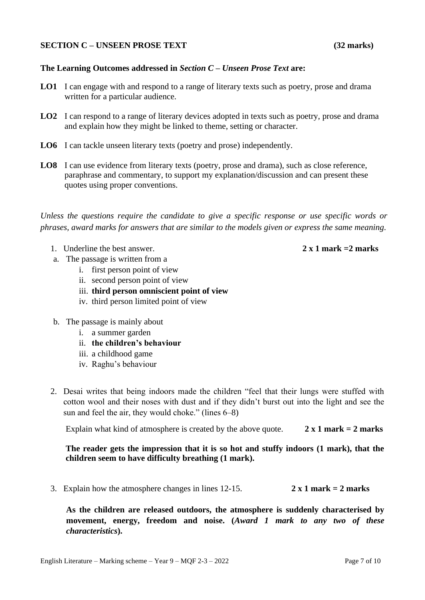### **SECTION C – UNSEEN PROSE TEXT (32 marks)**

### **The Learning Outcomes addressed in** *Section C – Unseen Prose Text* **are:**

- **LO1** I can engage with and respond to a range of literary texts such as poetry, prose and drama written for a particular audience.
- **LO2** I can respond to a range of literary devices adopted in texts such as poetry, prose and drama and explain how they might be linked to theme, setting or character.
- **LO6** I can tackle unseen literary texts (poetry and prose) independently.
- **LO8** I can use evidence from literary texts (poetry, prose and drama), such as close reference, paraphrase and commentary, to support my explanation/discussion and can present these quotes using proper conventions.

*Unless the questions require the candidate to give a specific response or use specific words or phrases, award marks for answers that are similar to the models given or express the same meaning.*

1. Underline the best answer. **2 x 1 mark =2 marks**

- a. The passage is written from a i. first person point of view
	- ii. second person point of view
	- iii. **third person omniscient point of view**
	- iv. third person limited point of view
- b. The passage is mainly about
	- i. a summer garden
	- ii. **the children's behaviour**
	- iii. a childhood game
	- iv. Raghu's behaviour
- 2. Desai writes that being indoors made the children "feel that their lungs were stuffed with cotton wool and their noses with dust and if they didn't burst out into the light and see the sun and feel the air, they would choke." (lines 6–8)

Explain what kind of atmosphere is created by the above quote.  $2 \times 1$  mark = 2 marks

### **The reader gets the impression that it is so hot and stuffy indoors (1 mark), that the children seem to have difficulty breathing (1 mark).**

3. Explain how the atmosphere changes in lines 12-15. **2 x 1 mark = 2 marks**

**As the children are released outdoors, the atmosphere is suddenly characterised by movement, energy, freedom and noise. (***Award 1 mark to any two of these characteristics***).**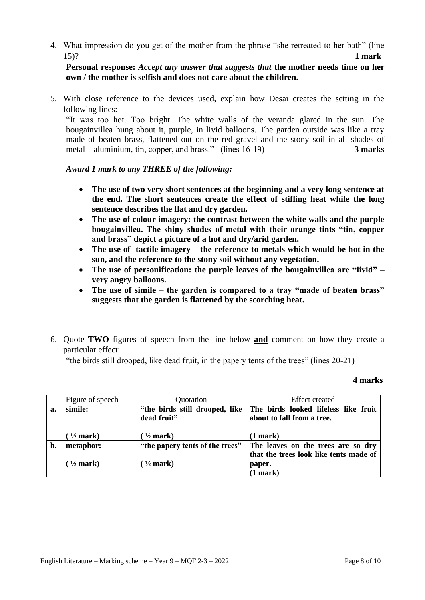4. What impression do you get of the mother from the phrase "she retreated to her bath" (line 15)? **1 mark**

**Personal response:** *Accept any answer that suggests that* **the mother needs time on her own / the mother is selfish and does not care about the children.**

5. With close reference to the devices used, explain how Desai creates the setting in the following lines:

"It was too hot. Too bright. The white walls of the veranda glared in the sun. The bougainvillea hung about it, purple, in livid balloons. The garden outside was like a tray made of beaten brass, flattened out on the red gravel and the stony soil in all shades of metal—aluminium, tin, copper, and brass." (lines 16-19) **3 marks**

### *Award 1 mark to any THREE of the following:*

- **The use of two very short sentences at the beginning and a very long sentence at the end. The short sentences create the effect of stifling heat while the long sentence describes the flat and dry garden.**
- **The use of colour imagery: the contrast between the white walls and the purple bougainvillea. The shiny shades of metal with their orange tints "tin, copper and brass" depict a picture of a hot and dry/arid garden.**
- **The use of tactile imagery – the reference to metals which would be hot in the sun, and the reference to the stony soil without any vegetation.**
- **The use of personification: the purple leaves of the bougainvillea are "livid" – very angry balloons.**
- **The use of simile – the garden is compared to a tray "made of beaten brass" suggests that the garden is flattened by the scorching heat.**
- 6. Quote **TWO** figures of speech from the line below **and** comment on how they create a particular effect:

"the birds still drooped, like dead fruit, in the papery tents of the trees" (lines 20-21)

### **4 marks**

|    | Figure of speech          | Quotation                       | <b>Effect</b> created                                                                               |
|----|---------------------------|---------------------------------|-----------------------------------------------------------------------------------------------------|
| a. | simile:                   | dead fruit"                     | "the birds still drooped, like   The birds looked lifeless like fruit<br>about to fall from a tree. |
|    | $(1/2$ mark)              | $\frac{1}{2}$ mark)             | $(1$ mark $)$                                                                                       |
| b. | metaphor:                 | "the papery tents of the trees" | The leaves on the trees are so dry                                                                  |
|    |                           |                                 | that the trees look like tents made of                                                              |
|    | $\left(\frac{1}{2}$ mark) | $\frac{1}{2}$ mark)             | paper.                                                                                              |
|    |                           |                                 | (1 mark)                                                                                            |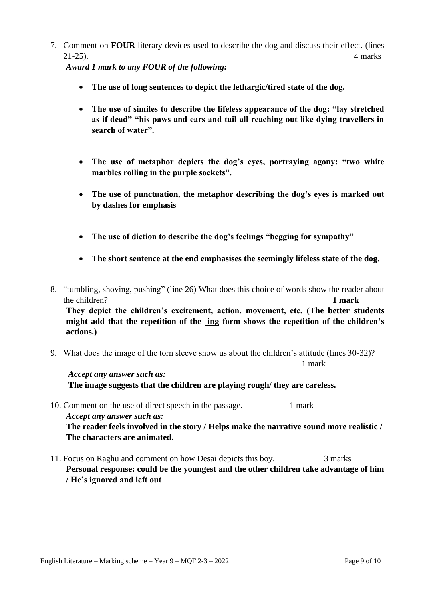7. Comment on **FOUR** literary devices used to describe the dog and discuss their effect. (lines 21-25). 4 marks

*Award 1 mark to any FOUR of the following:*

- **The use of long sentences to depict the lethargic/tired state of the dog.**
- **The use of similes to describe the lifeless appearance of the dog: "lay stretched as if dead" "his paws and ears and tail all reaching out like dying travellers in search of water".**
- **The use of metaphor depicts the dog's eyes, portraying agony: "two white marbles rolling in the purple sockets".**
- **The use of punctuation, the metaphor describing the dog's eyes is marked out by dashes for emphasis**
- **The use of diction to describe the dog's feelings "begging for sympathy"**
- **The short sentence at the end emphasises the seemingly lifeless state of the dog.**
- 8. "tumbling, shoving, pushing" (line 26) What does this choice of words show the reader about the children? **1 mark They depict the children's excitement, action, movement, etc. (The better students might add that the repetition of the -ing form shows the repetition of the children's actions.)**
- 9. What does the image of the torn sleeve show us about the children's attitude (lines 30-32)?

 1 mark *Accept any answer such as:*  **The image suggests that the children are playing rough/ they are careless.**

- 10. Comment on the use of direct speech in the passage. 1 mark *Accept any answer such as:* **The reader feels involved in the story / Helps make the narrative sound more realistic / The characters are animated.**
- 11. Focus on Raghu and comment on how Desai depicts this boy. 3 marks **Personal response: could be the youngest and the other children take advantage of him / He's ignored and left out**